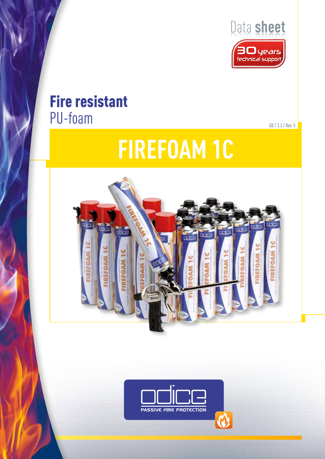

# Fire resistant PU-foam GB / 3.3 / Rev. 5

# **FIREFOAM 1C**



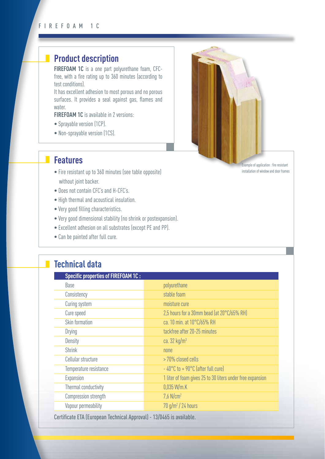# **Product description**

**FIREFOAM 1C** is a one part polyurethane foam, CFCfree, with a fire rating up to 360 minutes (according to test conditions).

It has excellent adhesion to most porous and no porous surfaces. It provides a seal against gas, flames and water.

**FIREFOAM 1C** is available in 2 versions:

- Sprayable version (1CP).
- Non-sprayable version (1CS).

### **Features**

 $\mathbb{R}^n$ 

- Fire resistant up to 360 minutes (see table opposite) without joint backer.
- Does not contain CFC's and H-CFC's.
- High thermal and acoustical insulation.
- Very good filling characteristics.
- Very good dimensional stability (no shrink or postexpansion).
- Excellent adhesion on all substrates (except PE and PP).
- Can be painted after full cure.

# **Technical data**

| <b>Specific properties of FIREFOAM 1C:</b>                         |                                                            |  |  |
|--------------------------------------------------------------------|------------------------------------------------------------|--|--|
| Base                                                               | polyurethane                                               |  |  |
| Consistency                                                        | stable foam                                                |  |  |
| Curing system                                                      | moisture cure                                              |  |  |
| Cure speed                                                         | 2,5 hours for a 30mm bead (at 20°C/65% RH)                 |  |  |
| Skin formation                                                     | ca. 10 min. at 10°C/65% RH                                 |  |  |
| <b>Drying</b>                                                      | tackfree after 20-25 minutes                               |  |  |
| Density                                                            | ca. $32 \text{ kg/m}^3$                                    |  |  |
| <b>Shrink</b>                                                      | none                                                       |  |  |
| Cellular structure                                                 | >70% closed cells                                          |  |  |
| Temperature resistance                                             | $-40^{\circ}$ C to + 90 $^{\circ}$ C (after full cure)     |  |  |
| Expansion                                                          | 1 liter of foam gives 25 to 30 liters under free expansion |  |  |
| Thermal conductivity                                               | 0.035 W/m.K                                                |  |  |
| Compression strength                                               | $7.6$ N/cm <sup>2</sup>                                    |  |  |
| Vapour permeability                                                | $70$ g/m <sup>2</sup> / 24 hours                           |  |  |
| Cartificate LTA (European Technical Approval) 19/0/45 is quailable |                                                            |  |  |

Certificate ETA (European Technical Approval) - 13/0465 is available.



Example of application : fire resistant installation of window and door frames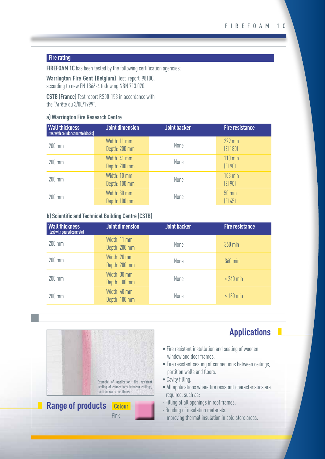#### **Fire rating**

**FIREFOAM 1C** has been tested by the following certification agencies:

**Warrington Fire Gent (Belgium)** Test report 9810C, according to new EN 1366-4 following NBN 713.020.

**CSTB (France)** Test report RS00-153 in accordance with the "Arrêté du 3/08/1999".

#### **a) Warrington Fire Research Centre**

| <b>Wall thickness</b><br>(test with cellular concrete blocks) | <b>Joint dimension</b>        | <b>Joint backer</b> | <b>Fire resistance</b>   |
|---------------------------------------------------------------|-------------------------------|---------------------|--------------------------|
| 200 mm                                                        | Width: 11 mm<br>Depth: 200 mm | None                | $229$ min<br>[E1 180]    |
| 200 mm                                                        | Width: 41 mm<br>Depth: 200 mm | None                | $110$ min<br>[E190]      |
| 200 mm                                                        | Width: 10 mm<br>Depth: 100 mm | None                | <b>103 min</b><br>[E190] |
| 200 mm                                                        | Width: 30 mm<br>Depth: 100 mm | None                | $50$ min<br>[E1 45]      |

#### **b) Scientific and Technical Building Centre (CSTB)**

| <b>Wall thickness</b><br>(test with poured concrete) | <b>Joint dimension</b>        | <b>Joint backer</b> | <b>Fire resistance</b> |
|------------------------------------------------------|-------------------------------|---------------------|------------------------|
| 200 mm                                               | Width: 11 mm<br>Depth: 200 mm | None                | 360 min                |
| 200 mm                                               | Width: 20 mm<br>Depth: 200 mm | None                | <b>360 min</b>         |
| 200 mm                                               | Width: 30 mm<br>Depth: 100 mm | None                | $>240$ min             |
| 200 mm                                               | Width: 40 mm<br>Depth: 100 mm | None                | $>180$ min             |



Pink

# **Applications**

- Fire resistant installation and sealing of wooden window and door frames.
- Fire resistant sealing of connections between ceilings, partition walls and floors.
- Cavity filling.
- All applications where fire resistant characteristics are required, such as:
- Filling of all openings in roof frames.
- Bonding of insulation materials.
- Improving thermal insulation in cold store areas.